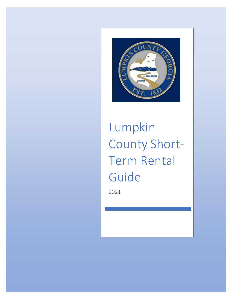

Lumpkin County Short-Term Rental Guide

2021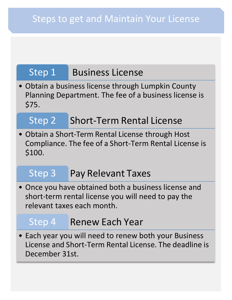## Step 1 Business License

• Obtain a business license through Lumpkin County Planning Department. The fee of a business license is \$75.

## Step 2 Short-Term Rental License

• Obtain a Short-Term Rental License through Host Compliance. The fee of a Short-Term Rental License is \$100.

## Step 3 Pay Relevant Taxes

• Once you have obtained both a business license and short-term rental license you will need to pay the relevant taxes each month.

## Step 4 Renew Each Year

• Each year you will need to renew both your Business License and Short-Term Rental License. The deadline is December 31st.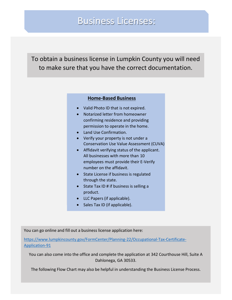## Business Licenses:

To obtain a business license in Lumpkin County you will need to make sure that you have the correct documentation.

#### **Home-Based Business**

- Valid Photo ID that is not expired.
- Notarized letter from homeowner confirming residence and providing permission to operate in the home.
- Land Use Confirmation.
- Verify your property is not under a Conservation Use Value Assessment (CUVA)
- Affidavit verifying status of the applicant. All businesses with more than 10 employees must provide their E-Verify number on the affidavit.
- State License if business is regulated through the state.
- State Tax ID # if business is selling a product.
- LLC Papers (if applicable).
- Sales Tax ID (if applicable).

You can go online and fill out a business license application here:

[https://www.lumpkincounty.gov/FormCenter/Planning-22/Occupational-Tax-Certificate-](https://www.lumpkincounty.gov/FormCenter/Planning-22/Occupational-Tax-Certificate-Application-91)[Application-91](https://www.lumpkincounty.gov/FormCenter/Planning-22/Occupational-Tax-Certificate-Application-91)

You can also come into the office and complete the application at 342 Courthouse Hill, Suite A Dahlonega, GA 30533.

The following Flow Chart may also be helpful in understanding the Business License Process.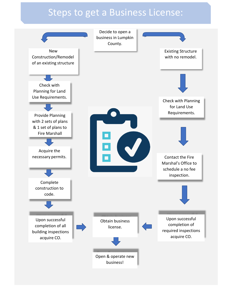## Steps to get a Business License:

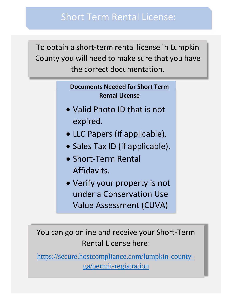To obtain a short-term rental license in Lumpkin County you will need to make sure that you have the correct documentation.

## **Documents Needed for Short Term Rental License**

- Valid Photo ID that is not expired.
- LLC Papers (if applicable).
- Sales Tax ID (if applicable).
- Short-Term Rental Affidavits.
- Verify your property is not under a Conservation Use Value Assessment (CUVA)

You can go online and receive your Short-Term Rental License here:

[https://secure.hostcompliance.com/lumpkin-county](https://secure.hostcompliance.com/lumpkin-county-ga/permit-registration)[ga/permit-registration](https://secure.hostcompliance.com/lumpkin-county-ga/permit-registration)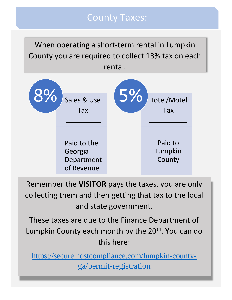## County Taxes:

When operating a short-term rental in Lumpkin County you are required to collect 13% tax on each rental.



Remember the **VISITOR** pays the taxes, you are only collecting them and then getting that tax to the local and state government.

These taxes are due to the Finance Department of Lumpkin County each month by the 20<sup>th</sup>. You can do this here:

[https://secure.hostcompliance.com/lumpkin-county](https://secure.hostcompliance.com/lumpkin-county-ga/permit-registration)[ga/permit-registration](https://secure.hostcompliance.com/lumpkin-county-ga/permit-registration)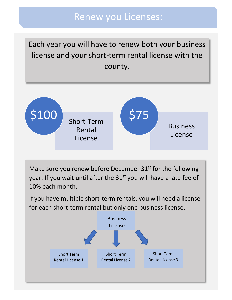## Renew you Licenses:

Each year you will have to renew both your business license and your short-term rental license with the county.



Make sure you renew before December  $31<sup>st</sup>$  for the following year. If you wait until after the 31<sup>st</sup> you will have a late fee of 10% each month.

If you have multiple short-term rentals, you will need a license for each short-term rental but only one business license.

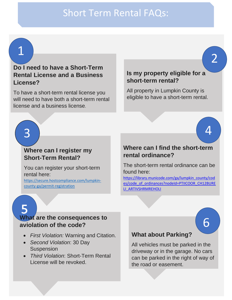## Short Term Rental FAQs:

1

### **Do I need to have a Short-Term Rental License and a Business License?**

To have a short-term rental license you will need to have both a short-term rental license and a business license.

#### **Is my property eligible for a short-term rental?**

All property in Lumpkin County is eligible to have a short-term rental.

4

6

2

# 3

#### **Where can I register my Short-Term Rental?**

You can register your short-term rental here:

[https://secure.hostcompliance.com/lumpkin](https://secure.hostcompliance.com/lumpkin-county-ga/permit-registration)[county-ga/permit-registration](https://secure.hostcompliance.com/lumpkin-county-ga/permit-registration)

### **Where can I find the short-term rental ordinance?**

The short-term rental ordinance can be found here:

[https://library.municode.com/ga/lumpkin\\_county/cod](https://library.municode.com/ga/lumpkin_county/codes/code_of_ordinances?nodeId=PTIICOOR_CH12BURELI_ARTIVSHRMREHOLI) [es/code\\_of\\_ordinances?nodeId=PTIICOOR\\_CH12BURE](https://library.municode.com/ga/lumpkin_county/codes/code_of_ordinances?nodeId=PTIICOOR_CH12BURELI_ARTIVSHRMREHOLI) [LI\\_ARTIVSHRMREHOLI](https://library.municode.com/ga/lumpkin_county/codes/code_of_ordinances?nodeId=PTIICOOR_CH12BURELI_ARTIVSHRMREHOLI)

### **What are the consequences to aviolation of the code?**

- *First Violation:* Warning and Citation.
- *Second Violation*: 30 Day Suspension
- *Third Violation*: Short-Term Rental License will be revoked.

#### **What about Parking?**

All vehicles must be parked in the driveway or in the garage. No cars can be parked in the right of way of the road or easement.